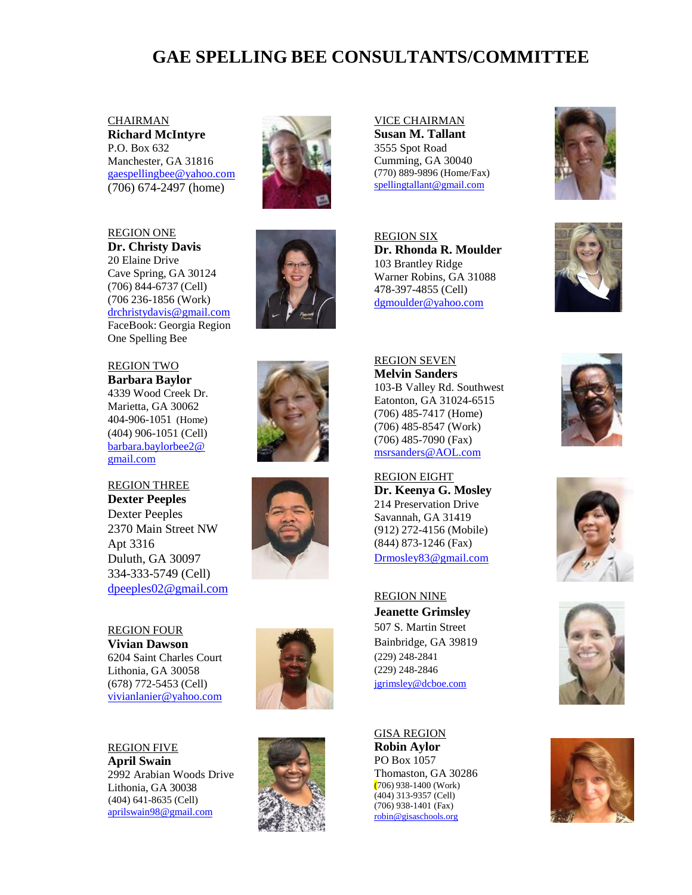## **GAE SPELLING BEE CONSULTANTS/COMMITTEE**

**CHAIRMAN Richard McIntyre** P.O. Box 632 Manchester, GA 31816 [gaespellingbee@yahoo.com](mailto:gaespellingbee@yahoo.com) (706) 674-2497 (home)



20 Elaine Drive Cave Spring, GA 30124 (706) 844-6737 (Cell) (706 236-1856 (Work) [drchristydavis@gmail.com](../../Downloads/drchristydavis@gmail.com) FaceBook: Georgia Region One Spelling Bee

REGION TWO **Barbara Baylor** 4339 Wood Creek Dr. Marietta, GA 30062 404-906-1051 (Home) (404) 906-1051 (Cell) [barbara.baylorbee2@](mailto:barbara.baylorbee2@) [gmail.com](mailto:barbara.baylorbee2@)

REGION THREE **Dexter Peeples** Dexter Peeples 2370 Main Street NW Apt 3316 Duluth, GA 30097 334-333-5749 (Cell) [dpeeples02@gmail.com](mailto:dpeeples02@gmail.com)

REGION FOUR **Vivian Dawson** 6204 Saint Charles Court Lithonia, GA 30058 (678) 772-5453 (Cell) [vivianlanier@yahoo.com](../../Downloads/vivianlanier@yahoo.com)

REGION FIVE **April Swain** 2992 Arabian Woods Drive Lithonia, GA 30038 (404) 641-8635 (Cell) [aprilswain98@gmail.com](mailto:aprilswain98@gmail.com)



VICE CHAIRMAN **Susan M. Tallant** 3555 Spot Road Cumming, GA 30040 (770) 889-9896 (Home/Fax[\)](mailto:%0Bspellingtallant@gmail.com) [spellingtallant@gmail.com](mailto:%0Bspellingtallant@gmail.com)

REGION SIX **Dr. Rhonda R. Moulder** 103 Brantley Ridge Warner Robins, GA 31088 478-397-4855 (Cell) [dgmoulder@yahoo.com](mailto:dgmoulder@yahoo.com)









REGION SEVEN **Melvin Sanders** 103-B Valley Rd. Southwest Eatonton, GA 31024-6515 (706) 485-7417 (Home) (706) 485-8547 (Work) (706) 485-7090 (Fax) [msrsanders@AOL.com](mailto:%20msrsanders@AOL.com)

REGION EIGHT **Dr. Keenya G. Mosley** 214 Preservation Drive Savannah, GA 31419 (912) 272-4156 (Mobile) (844) 873-1246 (Fax) [Drmosley83@gmail.com](mailto:Drmosley83@gmail.com)

REGION NINE **Jeanette Grimsley** 507 S. Martin Street Bainbridge, GA 39819 (229) 248-2841 (229) 248-2846 [jgrimsley@dcboe.com](mailto:jgrimsley@dcboe.com)

GISA REGION **Robin Aylor** PO Box 1057 Thomaston, GA 30286 (706) 938-1400 (Work) (404) 313-9357 (Cell) (706) 938-1401 (Fax) [robin@gisaschools.org](mailto:robin@gisaschools.org)











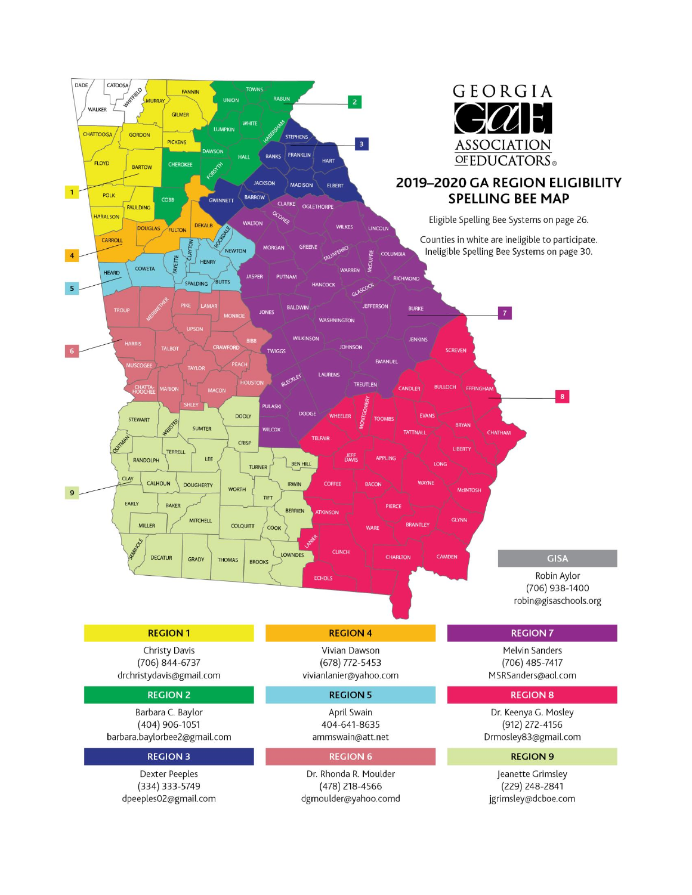